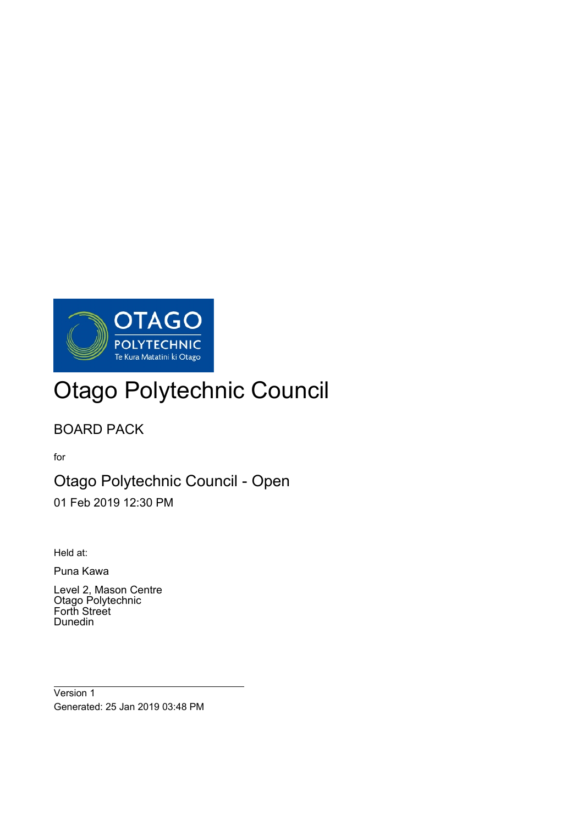

# Otago Polytechnic Council

# BOARD PACK

for

# Otago Polytechnic Council - Open

01 Feb 2019 12:30 PM

Held at:

 $\overline{a}$ 

Puna Kawa

Level 2, Mason Centre Otago Polytechnic Forth Street Dunedin

Version 1 Generated: 25 Jan 2019 03:48 PM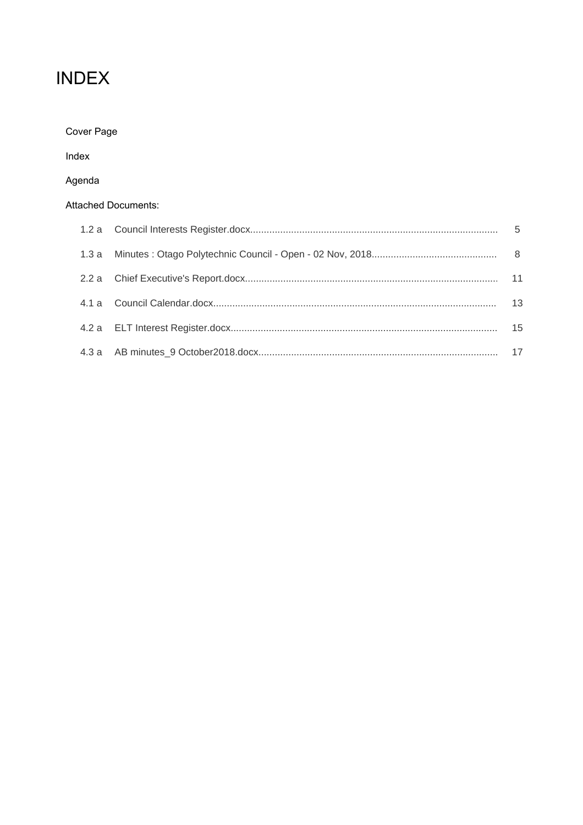# **INDEX**

| Cover Page |  |
|------------|--|
|------------|--|

Index

# Agenda

### Attached Documents:

|  | -13 |
|--|-----|
|  | 15  |
|  |     |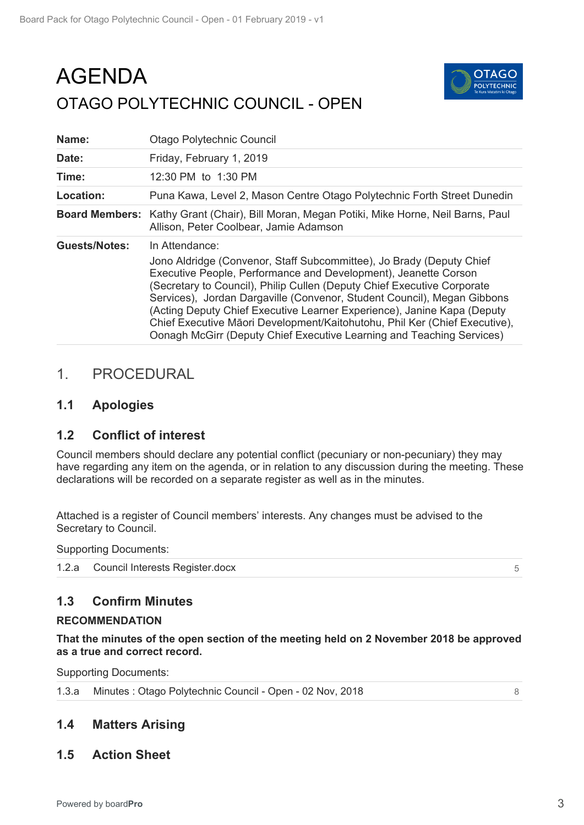# <span id="page-2-0"></span>AGENDA OTAGO POLYTECHNIC COUNCIL - OPEN



| Name:                | <b>Otago Polytechnic Council</b>                                                                                                                                                                                                                                                                                                                                                                                                                                                                                                                  |
|----------------------|---------------------------------------------------------------------------------------------------------------------------------------------------------------------------------------------------------------------------------------------------------------------------------------------------------------------------------------------------------------------------------------------------------------------------------------------------------------------------------------------------------------------------------------------------|
| Date:                | Friday, February 1, 2019                                                                                                                                                                                                                                                                                                                                                                                                                                                                                                                          |
| Time:                | 12:30 PM to 1:30 PM                                                                                                                                                                                                                                                                                                                                                                                                                                                                                                                               |
| Location:            | Puna Kawa, Level 2, Mason Centre Otago Polytechnic Forth Street Dunedin                                                                                                                                                                                                                                                                                                                                                                                                                                                                           |
|                      | Board Members: Kathy Grant (Chair), Bill Moran, Megan Potiki, Mike Horne, Neil Barns, Paul<br>Allison, Peter Coolbear, Jamie Adamson                                                                                                                                                                                                                                                                                                                                                                                                              |
| <b>Guests/Notes:</b> | In Attendance:<br>Jono Aldridge (Convenor, Staff Subcommittee), Jo Brady (Deputy Chief<br>Executive People, Performance and Development), Jeanette Corson<br>(Secretary to Council), Philip Cullen (Deputy Chief Executive Corporate<br>Services), Jordan Dargaville (Convenor, Student Council), Megan Gibbons<br>(Acting Deputy Chief Executive Learner Experience), Janine Kapa (Deputy<br>Chief Executive Māori Development/Kaitohutohu, Phil Ker (Chief Executive),<br>Oonagh McGirr (Deputy Chief Executive Learning and Teaching Services) |

# 1. PROCEDURAL

## **1.1 Apologies**

## **1.2 Conflict of interest**

Council members should declare any potential conflict (pecuniary or non-pecuniary) they may have regarding any item on the agenda, or in relation to any discussion during the meeting. These declarations will be recorded on a separate register as well as in the minutes.

Attached is a register of Council members' interests. Any changes must be advised to the Secretary to Council.

Supporting Documents:

1.2.a [Council Interests Register.docx](#page-4-0)

## **1.3 Confirm Minutes**

### **RECOMMENDATION**

**That the minutes of the open section of the meeting held on 2 November 2018 be approved as a true and correct record.**

Supporting Documents:

|  | 1.3.a Minutes: Otago Polytechnic Council - Open - 02 Nov, 2018 |  |
|--|----------------------------------------------------------------|--|
|--|----------------------------------------------------------------|--|

# **1.4 Matters Arising**

**1.5 Action Sheet**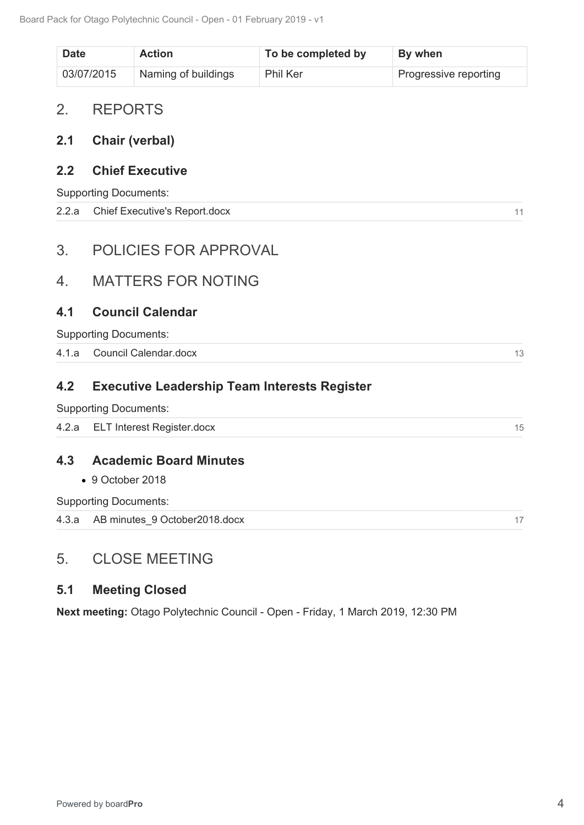<span id="page-3-0"></span>

| <b>Date</b> | <b>Action</b>       | To be completed by | By when               |
|-------------|---------------------|--------------------|-----------------------|
| 03/07/2015  | Naming of buildings | Phil Ker           | Progressive reporting |

# 2. REPORTS

# **2.1 Chair (verbal)**

# **2.2 Chief Executive**

Supporting Documents:

| 2.2.a Chief Executive's Report.docx |  |
|-------------------------------------|--|
|                                     |  |

# 3. POLICIES FOR APPROVAL

# 4. MATTERS FOR NOTING

## **4.1 Council Calendar**

# **4.2 Executive Leadership Team Interests Register**

|                | 2.2.a Chief Executive's Report.docx                 | 11 |
|----------------|-----------------------------------------------------|----|
|                |                                                     |    |
| 3 <sub>1</sub> | <b>POLICIES FOR APPROVAL</b>                        |    |
| 4.             | <b>MATTERS FOR NOTING</b>                           |    |
| 4.1            | <b>Council Calendar</b>                             |    |
|                | <b>Supporting Documents:</b>                        |    |
|                | 4.1.a Council Calendar.docx                         | 13 |
| 4.2            | <b>Executive Leadership Team Interests Register</b> |    |
|                | <b>Supporting Documents:</b>                        |    |
|                | 4.2.a ELT Interest Register.docx                    | 15 |
| 4.3            | <b>Academic Board Minutes</b>                       |    |
|                | $\bullet$ 9 October 2018                            |    |
|                | <b>Supporting Documents:</b>                        |    |
|                | 4.3.a AB minutes 9 October2018.docx                 | 17 |

# **4.3 Academic Board Minutes**

# 5. CLOSE MEETING

## **5.1 Meeting Closed**

**Next meeting:** Otago Polytechnic Council - Open - Friday, 1 March 2019, 12:30 PM

 $13$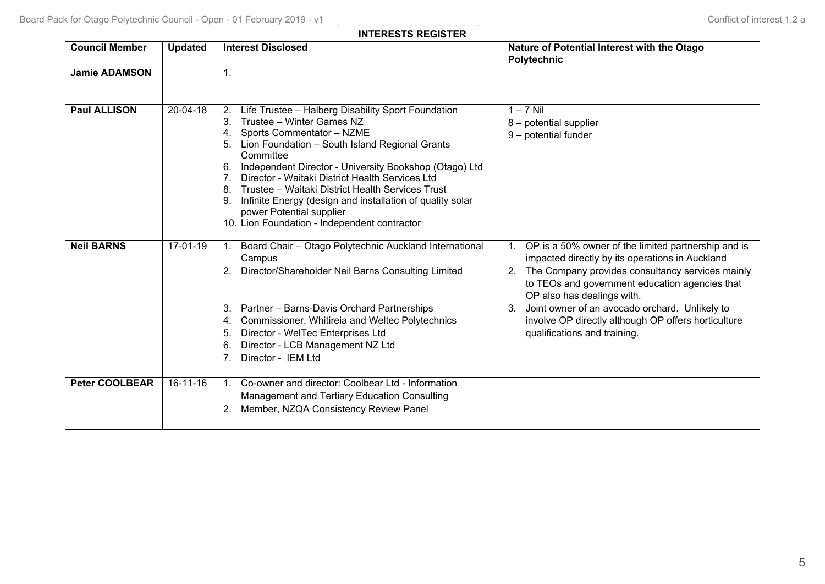<span id="page-4-0"></span>

| <b>INTERESTS REGISTER</b> |                |                                                                                                                                                                                                                                                                                                                                                                                                                                                                                                                                       |                                                                                                                                                                                                                                                                                                                                                                                                       |
|---------------------------|----------------|---------------------------------------------------------------------------------------------------------------------------------------------------------------------------------------------------------------------------------------------------------------------------------------------------------------------------------------------------------------------------------------------------------------------------------------------------------------------------------------------------------------------------------------|-------------------------------------------------------------------------------------------------------------------------------------------------------------------------------------------------------------------------------------------------------------------------------------------------------------------------------------------------------------------------------------------------------|
| <b>Council Member</b>     | <b>Updated</b> | <b>Interest Disclosed</b>                                                                                                                                                                                                                                                                                                                                                                                                                                                                                                             | Nature of Potential Interest with the Otago<br><b>Polytechnic</b>                                                                                                                                                                                                                                                                                                                                     |
| <b>Jamie ADAMSON</b>      |                | $\mathbf{1}$ .                                                                                                                                                                                                                                                                                                                                                                                                                                                                                                                        |                                                                                                                                                                                                                                                                                                                                                                                                       |
| <b>Paul ALLISON</b>       | 20-04-18       | Life Trustee - Halberg Disability Sport Foundation<br>2.<br>Trustee - Winter Games NZ<br>3.<br>Sports Commentator - NZME<br>4.<br>Lion Foundation - South Island Regional Grants<br>Committee<br>Independent Director - University Bookshop (Otago) Ltd<br>6.<br>Director - Waitaki District Health Services Ltd<br>7 <sub>1</sub><br>Trustee - Waitaki District Health Services Trust<br>8.<br>Infinite Energy (design and installation of quality solar<br>power Potential supplier<br>10. Lion Foundation - Independent contractor | $1 - 7$ Nil<br>8 - potential supplier<br>9 - potential funder                                                                                                                                                                                                                                                                                                                                         |
| <b>Neil BARNS</b>         | 17-01-19       | Board Chair - Otago Polytechnic Auckland International<br>Campus<br>2. Director/Shareholder Neil Barns Consulting Limited<br>Partner - Barns-Davis Orchard Partnerships<br>3.<br>Commissioner, Whitireia and Weltec Polytechnics<br>4.<br>Director - WelTec Enterprises Ltd<br>5.<br>Director - LCB Management NZ Ltd<br>6.<br>Director - IEM Ltd<br>7.                                                                                                                                                                               | OP is a 50% owner of the limited partnership and is<br>1.<br>impacted directly by its operations in Auckland<br>The Company provides consultancy services mainly<br>2.<br>to TEOs and government education agencies that<br>OP also has dealings with.<br>Joint owner of an avocado orchard. Unlikely to<br>3.<br>involve OP directly although OP offers horticulture<br>qualifications and training. |
| <b>Peter COOLBEAR</b>     | $16 - 11 - 16$ | Co-owner and director: Coolbear Ltd - Information<br>1 <sub>1</sub><br>Management and Tertiary Education Consulting<br>Member, NZQA Consistency Review Panel<br>2.                                                                                                                                                                                                                                                                                                                                                                    |                                                                                                                                                                                                                                                                                                                                                                                                       |

**OTAGO POLYTECHNIC COUNCIL**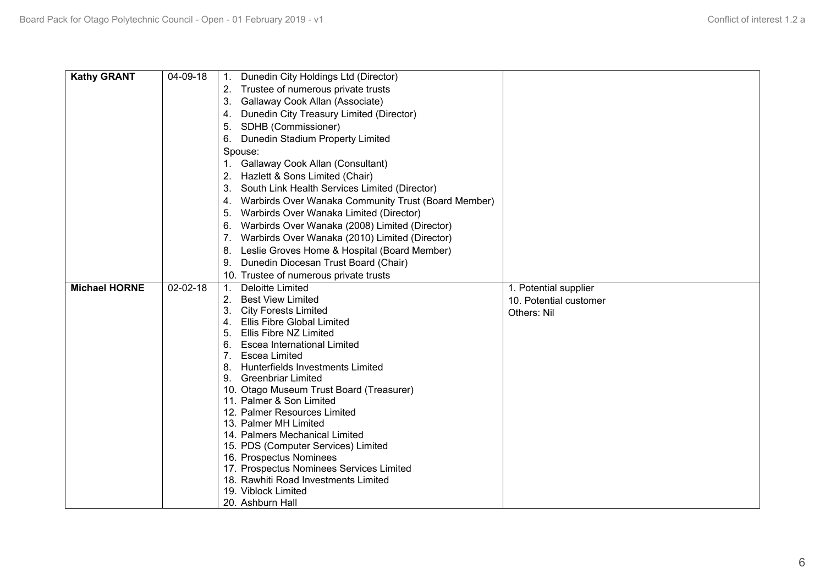| <b>Kathy GRANT</b>   | 04-09-18 | Dunedin City Holdings Ltd (Director)<br>1.                          |                        |
|----------------------|----------|---------------------------------------------------------------------|------------------------|
|                      |          | Trustee of numerous private trusts                                  |                        |
|                      |          | Gallaway Cook Allan (Associate)<br>3.                               |                        |
|                      |          | Dunedin City Treasury Limited (Director)<br>4.                      |                        |
|                      |          | SDHB (Commissioner)<br>5.                                           |                        |
|                      |          | Dunedin Stadium Property Limited<br>6.                              |                        |
|                      |          | Spouse:                                                             |                        |
|                      |          | Gallaway Cook Allan (Consultant)<br>1.                              |                        |
|                      |          | Hazlett & Sons Limited (Chair)<br>2.                                |                        |
|                      |          | South Link Health Services Limited (Director)<br>3.                 |                        |
|                      |          | Warbirds Over Wanaka Community Trust (Board Member)<br>4.           |                        |
|                      |          | Warbirds Over Wanaka Limited (Director)<br>5.                       |                        |
|                      |          | Warbirds Over Wanaka (2008) Limited (Director)<br>6.                |                        |
|                      |          | Warbirds Over Wanaka (2010) Limited (Director)<br>7.                |                        |
|                      |          | Leslie Groves Home & Hospital (Board Member)<br>8.                  |                        |
|                      |          | Dunedin Diocesan Trust Board (Chair)<br>9.                          |                        |
|                      |          | 10. Trustee of numerous private trusts                              |                        |
| <b>Michael HORNE</b> | 02-02-18 | <b>Deloitte Limited</b>                                             |                        |
|                      |          | 1.<br><b>Best View Limited</b><br>2.                                | 1. Potential supplier  |
|                      |          | <b>City Forests Limited</b><br>3.                                   | 10. Potential customer |
|                      |          | <b>Ellis Fibre Global Limited</b><br>4.                             | Others: Nil            |
|                      |          | 5. Ellis Fibre NZ Limited                                           |                        |
|                      |          | <b>Escea International Limited</b><br>6.                            |                        |
|                      |          | 7. Escea Limited                                                    |                        |
|                      |          | 8. Hunterfields Investments Limited                                 |                        |
|                      |          | 9. Greenbriar Limited                                               |                        |
|                      |          | 10. Otago Museum Trust Board (Treasurer)                            |                        |
|                      |          | 11. Palmer & Son Limited                                            |                        |
|                      |          | 12. Palmer Resources Limited                                        |                        |
|                      |          | 13. Palmer MH Limited                                               |                        |
|                      |          | 14. Palmers Mechanical Limited                                      |                        |
|                      |          | 15. PDS (Computer Services) Limited                                 |                        |
|                      |          | 16. Prospectus Nominees<br>17. Prospectus Nominees Services Limited |                        |
|                      |          | 18. Rawhiti Road Investments Limited                                |                        |
|                      |          | 19. Viblock Limited                                                 |                        |
|                      |          | 20. Ashburn Hall                                                    |                        |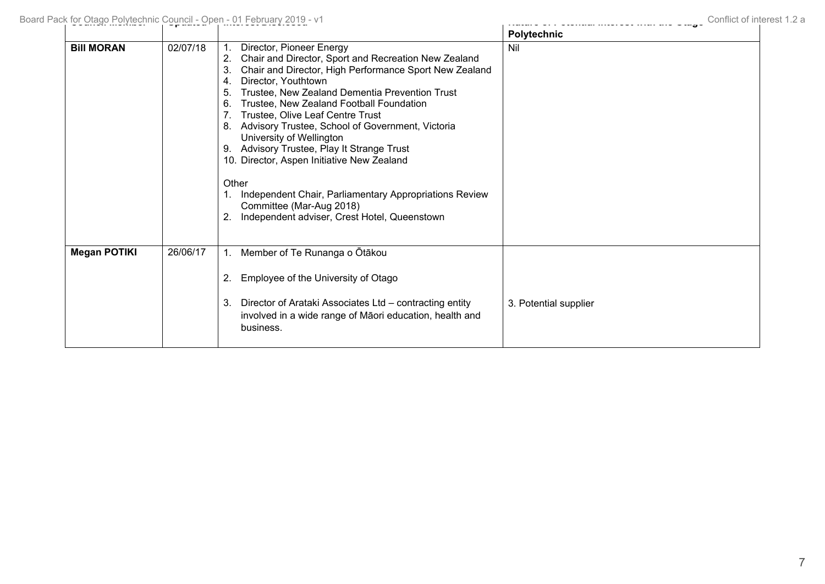|                     |          |                                                                                                                                                                                                                                                                                                                                                                                                                                                                                                                                                                                                                                                                             | <b>Polytechnic</b>    |
|---------------------|----------|-----------------------------------------------------------------------------------------------------------------------------------------------------------------------------------------------------------------------------------------------------------------------------------------------------------------------------------------------------------------------------------------------------------------------------------------------------------------------------------------------------------------------------------------------------------------------------------------------------------------------------------------------------------------------------|-----------------------|
| <b>Bill MORAN</b>   | 02/07/18 | Director, Pioneer Energy<br>Chair and Director, Sport and Recreation New Zealand<br>2.<br>Chair and Director, High Performance Sport New Zealand<br>3.<br>Director, Youthtown<br>4.<br>Trustee, New Zealand Dementia Prevention Trust<br>5.<br>Trustee, New Zealand Football Foundation<br>6.<br>Trustee, Olive Leaf Centre Trust<br>Advisory Trustee, School of Government, Victoria<br>8.<br>University of Wellington<br>Advisory Trustee, Play It Strange Trust<br>9.<br>10. Director, Aspen Initiative New Zealand<br>Other<br>Independent Chair, Parliamentary Appropriations Review<br>Committee (Mar-Aug 2018)<br>Independent adviser, Crest Hotel, Queenstown<br>2. | Nil                   |
| <b>Megan POTIKI</b> | 26/06/17 | Member of Te Runanga o Ōtākou<br>$\mathbf{1}$ .<br>Employee of the University of Otago<br>2.<br>Director of Arataki Associates Ltd - contracting entity<br>3.<br>involved in a wide range of Māori education, health and<br>business.                                                                                                                                                                                                                                                                                                                                                                                                                                       | 3. Potential supplier |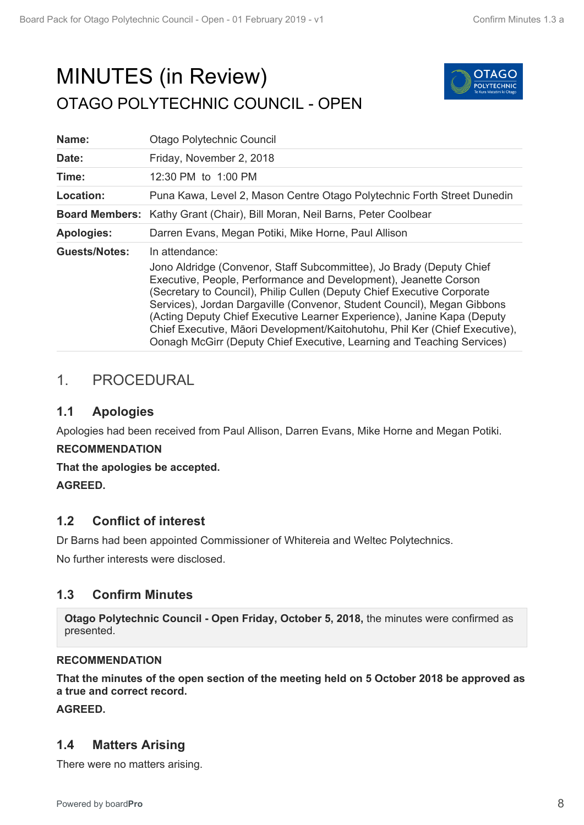# <span id="page-7-0"></span>MINUTES (in Review) OTAGO POLYTECHNIC COUNCIL - OPEN



| Name:                 | Otago Polytechnic Council                                                                                                                                                                                                                                                                                                                                                                                                                                                                                                                            |
|-----------------------|------------------------------------------------------------------------------------------------------------------------------------------------------------------------------------------------------------------------------------------------------------------------------------------------------------------------------------------------------------------------------------------------------------------------------------------------------------------------------------------------------------------------------------------------------|
| Date:                 | Friday, November 2, 2018                                                                                                                                                                                                                                                                                                                                                                                                                                                                                                                             |
| Time:                 | 12:30 PM to 1:00 PM                                                                                                                                                                                                                                                                                                                                                                                                                                                                                                                                  |
| Location:             | Puna Kawa, Level 2, Mason Centre Otago Polytechnic Forth Street Dunedin                                                                                                                                                                                                                                                                                                                                                                                                                                                                              |
| <b>Board Members:</b> | Kathy Grant (Chair), Bill Moran, Neil Barns, Peter Coolbear                                                                                                                                                                                                                                                                                                                                                                                                                                                                                          |
| <b>Apologies:</b>     | Darren Evans, Megan Potiki, Mike Horne, Paul Allison                                                                                                                                                                                                                                                                                                                                                                                                                                                                                                 |
| <b>Guests/Notes:</b>  | In attendance:<br>Jono Aldridge (Convenor, Staff Subcommittee), Jo Brady (Deputy Chief<br>Executive, People, Performance and Development), Jeanette Corson<br>(Secretary to Council), Philip Cullen (Deputy Chief Executive Corporate<br>Services), Jordan Dargaville (Convenor, Student Council), Megan Gibbons<br>(Acting Deputy Chief Executive Learner Experience), Janine Kapa (Deputy<br>Chief Executive, Māori Development/Kaitohutohu, Phil Ker (Chief Executive),<br>Oonagh McGirr (Deputy Chief Executive, Learning and Teaching Services) |

# 1. PROCEDURAL

# **1.1 Apologies**

Apologies had been received from Paul Allison, Darren Evans, Mike Horne and Megan Potiki.

## **RECOMMENDATION**

**That the apologies be accepted.**

**AGREED.**

# **1.2 Conflict of interest**

Dr Barns had been appointed Commissioner of Whitereia and Weltec Polytechnics.

No further interests were disclosed.

# **1.3 Confirm Minutes**

**Otago Polytechnic Council - Open Friday, October 5, 2018,** the minutes were confirmed as presented.

### **RECOMMENDATION**

**That the minutes of the open section of the meeting held on 5 October 2018 be approved as a true and correct record.**

**AGREED.**

# **1.4 Matters Arising**

There were no matters arising.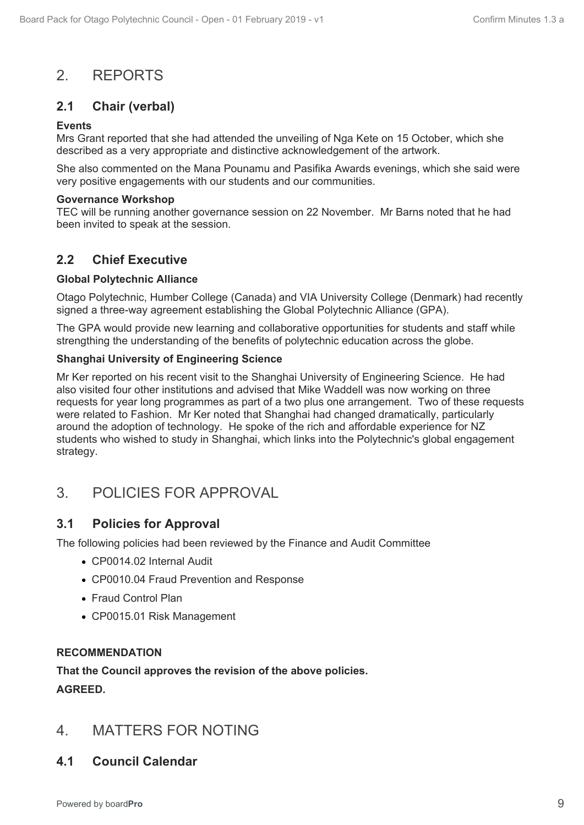# 2. REPORTS

# **2.1 Chair (verbal)**

### **Events**

Mrs Grant reported that she had attended the unveiling of Nga Kete on 15 October, which she described as a very appropriate and distinctive acknowledgement of the artwork.

She also commented on the Mana Pounamu and Pasifika Awards evenings, which she said were very positive engagements with our students and our communities.

### **Governance Workshop**

TEC will be running another governance session on 22 November. Mr Barns noted that he had been invited to speak at the session.

# **2.2 Chief Executive**

### **Global Polytechnic Alliance**

Otago Polytechnic, Humber College (Canada) and VIA University College (Denmark) had recently signed a three-way agreement establishing the Global Polytechnic Alliance (GPA).

The GPA would provide new learning and collaborative opportunities for students and staff while strengthing the understanding of the benefits of polytechnic education across the globe.

### **Shanghai University of Engineering Science**

Mr Ker reported on his recent visit to the Shanghai University of Engineering Science. He had also visited four other institutions and advised that Mike Waddell was now working on three requests for year long programmes as part of a two plus one arrangement. Two of these requests were related to Fashion. Mr Ker noted that Shanghai had changed dramatically, particularly around the adoption of technology. He spoke of the rich and affordable experience for NZ students who wished to study in Shanghai, which links into the Polytechnic's global engagement strategy.

# 3. POLICIES FOR APPROVAL

# **3.1 Policies for Approval**

The following policies had been reviewed by the Finance and Audit Committee

- CP0014.02 Internal Audit
- CP0010.04 Fraud Prevention and Response
- Fraud Control Plan
- CP0015.01 Risk Management

### **RECOMMENDATION**

# **That the Council approves the revision of the above policies. AGREED.**

# 4. MATTERS FOR NOTING

# **4.1 Council Calendar**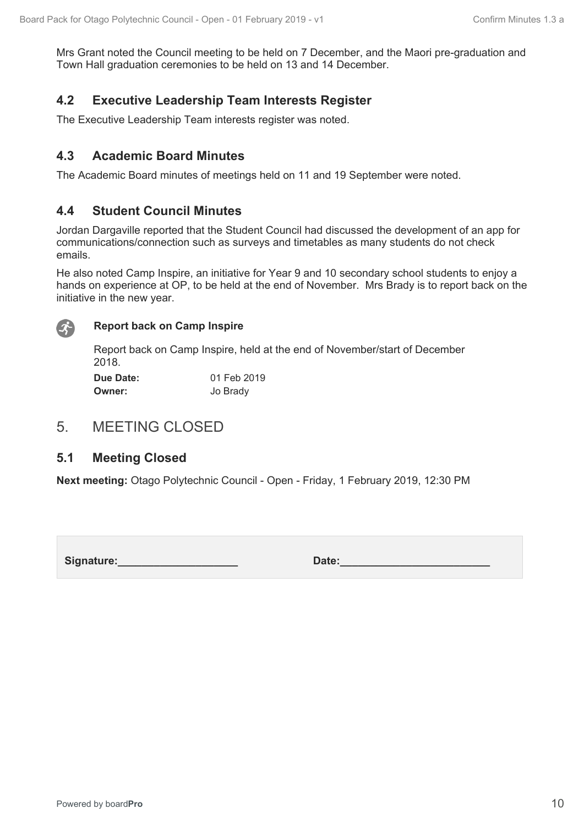Mrs Grant noted the Council meeting to be held on 7 December, and the Maori pre-graduation and Town Hall graduation ceremonies to be held on 13 and 14 December.

# **4.2 Executive Leadership Team Interests Register**

The Executive Leadership Team interests register was noted.

### **4.3 Academic Board Minutes**

The Academic Board minutes of meetings held on 11 and 19 September were noted.

## **4.4 Student Council Minutes**

Jordan Dargaville reported that the Student Council had discussed the development of an app for communications/connection such as surveys and timetables as many students do not check emails.

He also noted Camp Inspire, an initiative for Year 9 and 10 secondary school students to enjoy a hands on experience at OP, to be held at the end of November. Mrs Brady is to report back on the initiative in the new year.



### **Report back on Camp Inspire**

Report back on Camp Inspire, held at the end of November/start of December 2018.

| <b>Due Date:</b> | 01 Feb 2019 |
|------------------|-------------|
| <b>Owner:</b>    | Jo Brady    |

# 5. MEETING CLOSED

### **5.1 Meeting Closed**

**Next meeting:** Otago Polytechnic Council - Open - Friday, 1 February 2019, 12:30 PM

Signature: **Constanting Signature: Date:**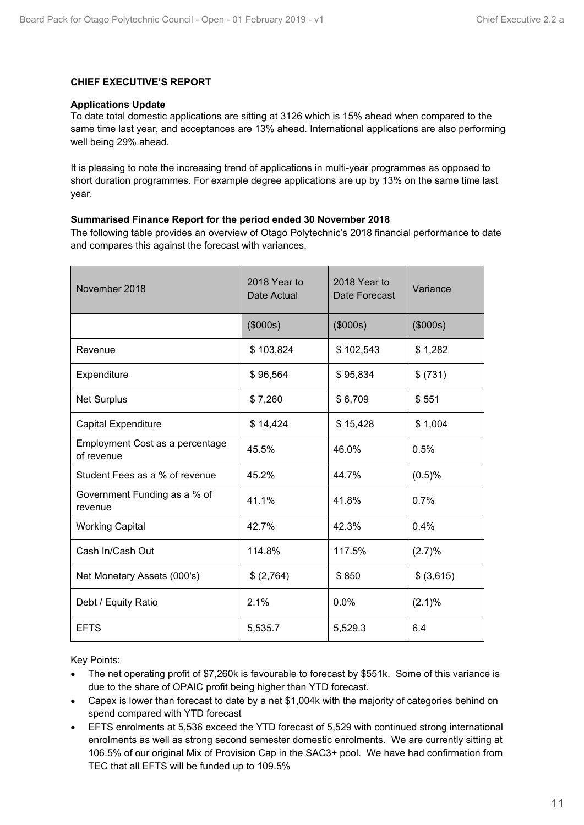### <span id="page-10-0"></span>**CHIEF EXECUTIVE'S REPORT**

#### **Applications Update**

To date total domestic applications are sitting at 3126 which is 15% ahead when compared to the same time last year, and acceptances are 13% ahead. International applications are also performing well being 29% ahead.

It is pleasing to note the increasing trend of applications in multi-year programmes as opposed to short duration programmes. For example degree applications are up by 13% on the same time last year.

### **Summarised Finance Report for the period ended 30 November 2018**

The following table provides an overview of Otago Polytechnic's 2018 financial performance to date and compares this against the forecast with variances.

| November 2018                                 | 2018 Year to<br>Date Actual | 2018 Year to<br>Date Forecast | Variance   |
|-----------------------------------------------|-----------------------------|-------------------------------|------------|
|                                               | (\$000s)                    | (\$000s)                      | (\$000s)   |
| Revenue                                       | \$103,824                   | \$102,543                     | \$1,282    |
| Expenditure                                   | \$96,564                    | \$95,834                      | \$ (731)   |
| <b>Net Surplus</b>                            | \$7,260                     | \$6,709                       | \$551      |
| <b>Capital Expenditure</b>                    | \$14,424                    | \$15,428                      | \$1,004    |
| Employment Cost as a percentage<br>of revenue | 45.5%                       | 46.0%                         | 0.5%       |
| Student Fees as a % of revenue                | 45.2%                       | 44.7%                         | (0.5)%     |
| Government Funding as a % of<br>revenue       | 41.1%                       | 41.8%                         | 0.7%       |
| <b>Working Capital</b>                        | 42.7%                       | 42.3%                         | 0.4%       |
| Cash In/Cash Out                              | 114.8%                      | 117.5%                        | (2.7)%     |
| Net Monetary Assets (000's)                   | \$ (2,764)                  | \$850                         | \$ (3,615) |
| Debt / Equity Ratio                           | 2.1%                        | 0.0%                          | (2.1)%     |
| <b>EFTS</b>                                   | 5,535.7                     | 5,529.3                       | 6.4        |

Key Points:

- The net operating profit of \$7,260k is favourable to forecast by \$551k. Some of this variance is due to the share of OPAIC profit being higher than YTD forecast.
- Capex is lower than forecast to date by a net \$1,004k with the majority of categories behind on spend compared with YTD forecast
- EFTS enrolments at 5,536 exceed the YTD forecast of 5,529 with continued strong international enrolments as well as strong second semester domestic enrolments. We are currently sitting at 106.5% of our original Mix of Provision Cap in the SAC3+ pool. We have had confirmation from TEC that all EFTS will be funded up to 109.5%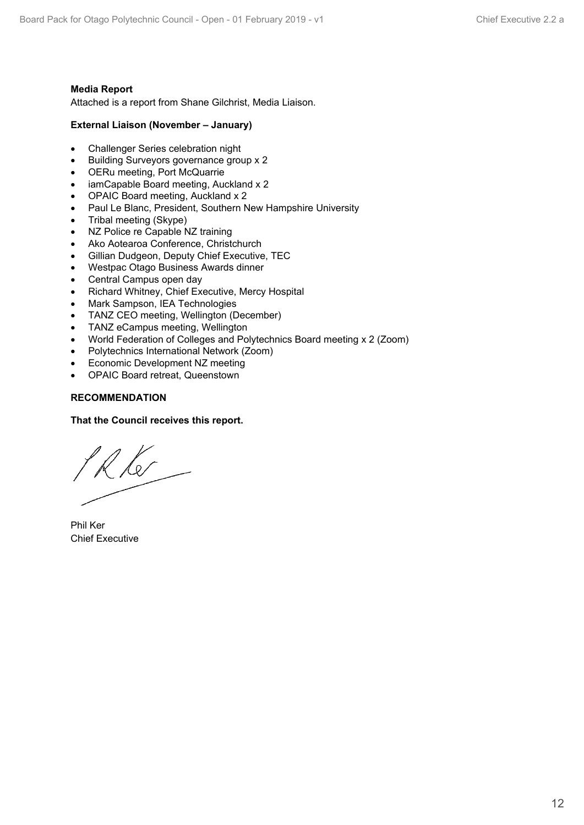### **Media Report**

Attached is a report from Shane Gilchrist, Media Liaison.

### **External Liaison (November – January)**

- Challenger Series celebration night
- **•** Building Surveyors governance group x 2
- OERu meeting, Port McQuarrie
- iamCapable Board meeting, Auckland x 2
- OPAIC Board meeting, Auckland x 2
- Paul Le Blanc, President, Southern New Hampshire University
- Tribal meeting (Skype)
- NZ Police re Capable NZ training
- Ako Aotearoa Conference, Christchurch
- Gillian Dudgeon, Deputy Chief Executive, TEC
- Westpac Otago Business Awards dinner
- Central Campus open day
- Richard Whitney, Chief Executive, Mercy Hospital
- Mark Sampson, IEA Technologies
- TANZ CEO meeting, Wellington (December)
- TANZ eCampus meeting, Wellington
- World Federation of Colleges and Polytechnics Board meeting x 2 (Zoom)
- Polytechnics International Network (Zoom)
- Economic Development NZ meeting
- OPAIC Board retreat, Queenstown

### **RECOMMENDATION**

### **That the Council receives this report.**

Rk

Phil Ker Chief Executive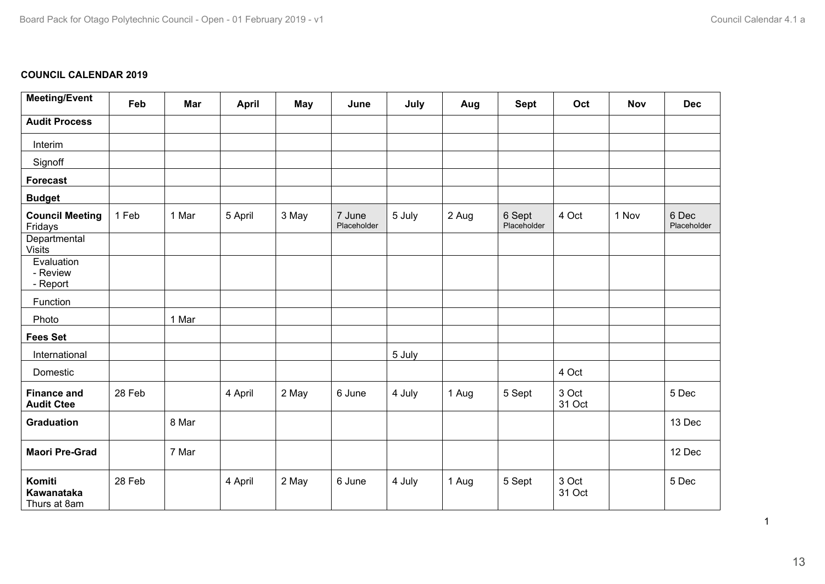### <span id="page-12-0"></span>**COUNCIL CALENDAR 2019**

| <b>Meeting/Event</b>                    | Feb    | Mar   | <b>April</b> | <b>May</b> | June                  | July   | Aug   | <b>Sept</b>           | Oct             | <b>Nov</b> | <b>Dec</b>           |
|-----------------------------------------|--------|-------|--------------|------------|-----------------------|--------|-------|-----------------------|-----------------|------------|----------------------|
| <b>Audit Process</b>                    |        |       |              |            |                       |        |       |                       |                 |            |                      |
| Interim                                 |        |       |              |            |                       |        |       |                       |                 |            |                      |
| Signoff                                 |        |       |              |            |                       |        |       |                       |                 |            |                      |
| <b>Forecast</b>                         |        |       |              |            |                       |        |       |                       |                 |            |                      |
| <b>Budget</b>                           |        |       |              |            |                       |        |       |                       |                 |            |                      |
| <b>Council Meeting</b><br>Fridays       | 1 Feb  | 1 Mar | 5 April      | 3 May      | 7 June<br>Placeholder | 5 July | 2 Aug | 6 Sept<br>Placeholder | 4 Oct           | 1 Nov      | 6 Dec<br>Placeholder |
| Departmental<br><b>Visits</b>           |        |       |              |            |                       |        |       |                       |                 |            |                      |
| Evaluation<br>- Review<br>- Report      |        |       |              |            |                       |        |       |                       |                 |            |                      |
| Function                                |        |       |              |            |                       |        |       |                       |                 |            |                      |
| Photo                                   |        | 1 Mar |              |            |                       |        |       |                       |                 |            |                      |
| <b>Fees Set</b>                         |        |       |              |            |                       |        |       |                       |                 |            |                      |
| International                           |        |       |              |            |                       | 5 July |       |                       |                 |            |                      |
| Domestic                                |        |       |              |            |                       |        |       |                       | 4 Oct           |            |                      |
| <b>Finance and</b><br><b>Audit Ctee</b> | 28 Feb |       | 4 April      | 2 May      | 6 June                | 4 July | 1 Aug | 5 Sept                | 3 Oct<br>31 Oct |            | 5 Dec                |
| <b>Graduation</b>                       |        | 8 Mar |              |            |                       |        |       |                       |                 |            | 13 Dec               |
| <b>Maori Pre-Grad</b>                   |        | 7 Mar |              |            |                       |        |       |                       |                 |            | 12 Dec               |
| Komiti<br>Kawanataka<br>Thurs at 8am    | 28 Feb |       | 4 April      | 2 May      | 6 June                | 4 July | 1 Aug | 5 Sept                | 3 Oct<br>31 Oct |            | 5 Dec                |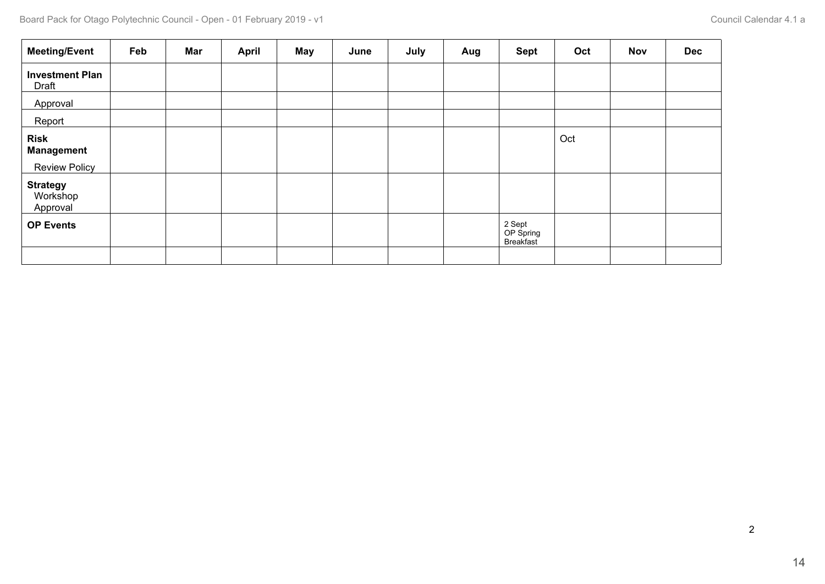| <b>Meeting/Event</b>                                     | Feb | Mar | <b>April</b> | May | June | July | Aug | <b>Sept</b>                      | Oct | <b>Nov</b> | <b>Dec</b> |
|----------------------------------------------------------|-----|-----|--------------|-----|------|------|-----|----------------------------------|-----|------------|------------|
| <b>Investment Plan</b><br>Draft                          |     |     |              |     |      |      |     |                                  |     |            |            |
| Approval                                                 |     |     |              |     |      |      |     |                                  |     |            |            |
| Report                                                   |     |     |              |     |      |      |     |                                  |     |            |            |
| <b>Risk</b><br><b>Management</b><br><b>Review Policy</b> |     |     |              |     |      |      |     |                                  | Oct |            |            |
| <b>Strategy</b><br>Workshop<br>Approval                  |     |     |              |     |      |      |     |                                  |     |            |            |
| <b>OP Events</b>                                         |     |     |              |     |      |      |     | 2 Sept<br>OP Spring<br>Breakfast |     |            |            |
|                                                          |     |     |              |     |      |      |     |                                  |     |            |            |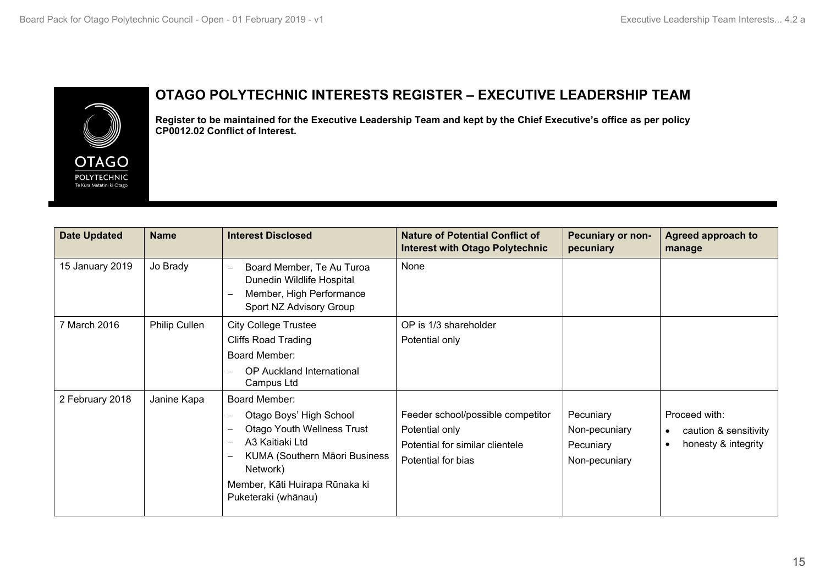<span id="page-14-0"></span>

# **OTAGO POLYTECHNIC INTERESTS REGISTER – EXECUTIVE LEADERSHIP TEAM**

**Register to be maintained for the Executive Leadership Team and kept by the Chief Executive's office as per policy CP0012.02 Conflict of Interest.**

| <b>Date Updated</b> | <b>Name</b>   | <b>Interest Disclosed</b>                                                                                                                                                                                              | <b>Nature of Potential Conflict of</b><br><b>Interest with Otago Polytechnic</b>                             | <b>Pecuniary or non-</b><br>pecuniary                    | <b>Agreed approach to</b><br>manage                                        |
|---------------------|---------------|------------------------------------------------------------------------------------------------------------------------------------------------------------------------------------------------------------------------|--------------------------------------------------------------------------------------------------------------|----------------------------------------------------------|----------------------------------------------------------------------------|
| 15 January 2019     | Jo Brady      | Board Member, Te Au Turoa<br>$\overline{\phantom{0}}$<br>Dunedin Wildlife Hospital<br>Member, High Performance<br>Sport NZ Advisory Group                                                                              | None                                                                                                         |                                                          |                                                                            |
| 7 March 2016        | Philip Cullen | <b>City College Trustee</b>                                                                                                                                                                                            | OP is 1/3 shareholder                                                                                        |                                                          |                                                                            |
|                     |               | <b>Cliffs Road Trading</b>                                                                                                                                                                                             | Potential only                                                                                               |                                                          |                                                                            |
|                     |               | Board Member:                                                                                                                                                                                                          |                                                                                                              |                                                          |                                                                            |
|                     |               | OP Auckland International<br>Campus Ltd                                                                                                                                                                                |                                                                                                              |                                                          |                                                                            |
| 2 February 2018     | Janine Kapa   | Board Member:                                                                                                                                                                                                          |                                                                                                              |                                                          |                                                                            |
|                     |               | Otago Boys' High School<br>-<br><b>Otago Youth Wellness Trust</b><br>A3 Kaitiaki Ltd<br>$\overline{\phantom{0}}$<br>KUMA (Southern Māori Business<br>Network)<br>Member, Kāti Huirapa Rūnaka ki<br>Puketeraki (whānau) | Feeder school/possible competitor<br>Potential only<br>Potential for similar clientele<br>Potential for bias | Pecuniary<br>Non-pecuniary<br>Pecuniary<br>Non-pecuniary | Proceed with:<br>caution & sensitivity<br>$\bullet$<br>honesty & integrity |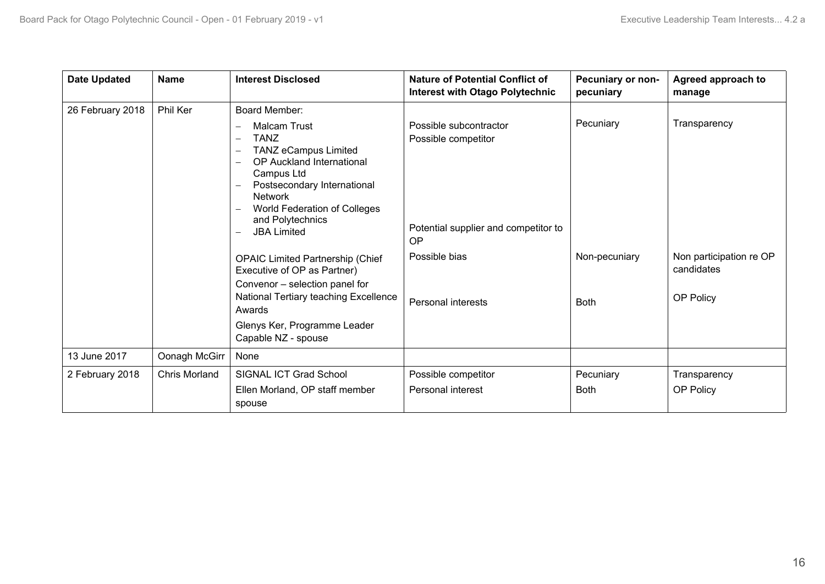| <b>Date Updated</b> | <b>Name</b>          | <b>Interest Disclosed</b>                                                                                                                                                                                                                                           | <b>Nature of Potential Conflict of</b><br><b>Interest with Otago Polytechnic</b>                   | Pecuniary or non-<br>pecuniary | Agreed approach to<br>manage                       |
|---------------------|----------------------|---------------------------------------------------------------------------------------------------------------------------------------------------------------------------------------------------------------------------------------------------------------------|----------------------------------------------------------------------------------------------------|--------------------------------|----------------------------------------------------|
| 26 February 2018    | Phil Ker             | Board Member:                                                                                                                                                                                                                                                       |                                                                                                    |                                |                                                    |
|                     |                      | <b>Malcam Trust</b><br><b>TANZ</b><br>$\qquad \qquad -$<br><b>TANZ eCampus Limited</b><br><b>OP Auckland International</b><br>Campus Ltd<br>Postsecondary International<br><b>Network</b><br>World Federation of Colleges<br>and Polytechnics<br><b>JBA Limited</b> | Possible subcontractor<br>Possible competitor<br>Potential supplier and competitor to<br><b>OP</b> | Pecuniary                      | Transparency                                       |
|                     |                      | <b>OPAIC Limited Partnership (Chief</b><br>Executive of OP as Partner)<br>Convenor - selection panel for<br>National Tertiary teaching Excellence                                                                                                                   | Possible bias<br><b>Personal interests</b>                                                         | Non-pecuniary<br><b>Both</b>   | Non participation re OP<br>candidates<br>OP Policy |
|                     |                      | Awards                                                                                                                                                                                                                                                              |                                                                                                    |                                |                                                    |
|                     |                      | Glenys Ker, Programme Leader<br>Capable NZ - spouse                                                                                                                                                                                                                 |                                                                                                    |                                |                                                    |
| 13 June 2017        | Oonagh McGirr        | None                                                                                                                                                                                                                                                                |                                                                                                    |                                |                                                    |
| 2 February 2018     | <b>Chris Morland</b> | SIGNAL ICT Grad School                                                                                                                                                                                                                                              | Possible competitor                                                                                | Pecuniary                      | Transparency                                       |
|                     |                      | Ellen Morland, OP staff member<br>spouse                                                                                                                                                                                                                            | <b>Personal interest</b>                                                                           | <b>Both</b>                    | OP Policy                                          |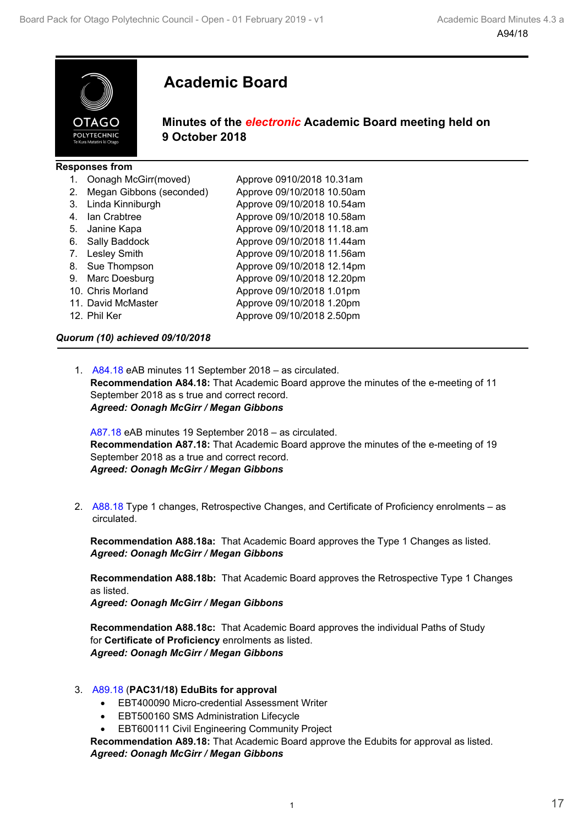<span id="page-16-0"></span>

# **Academic Board**

### **Minutes of the** *electronic* **Academic Board meeting held on 9 October 2018**

|    | <b>Responses from</b>    |                             |
|----|--------------------------|-----------------------------|
|    | Oonagh McGirr(moved)     | Approve 0910/2018 10.31am   |
| 2. | Megan Gibbons (seconded) | Approve 09/10/2018 10.50am  |
| 3. | Linda Kinniburgh         | Approve 09/10/2018 10.54am  |
| 4. | lan Crabtree             | Approve 09/10/2018 10.58am  |
| 5. | Janine Kapa              | Approve 09/10/2018 11.18.am |
| 6. | Sally Baddock            | Approve 09/10/2018 11.44am  |
| 7. | Lesley Smith             | Approve 09/10/2018 11.56am  |
| 8. | Sue Thompson             | Approve 09/10/2018 12.14pm  |
| 9. | Marc Doesburg            | Approve 09/10/2018 12.20pm  |
|    | 10. Chris Morland        | Approve 09/10/2018 1.01pm   |
|    | 11. David McMaster       | Approve 09/10/2018 1.20pm   |
|    | 12. Phil Ker             | Approve 09/10/2018 2.50pm   |

### *Quorum (10) achieved 09/10/2018*

1. A84.18 eAB minutes 11 September 2018 – as circulated. **Recommendation A84.18:** That Academic Board approve the minutes of the e-meeting of 11 September 2018 as s true and correct record. *Agreed: Oonagh McGirr / Megan Gibbons*

A87.18 eAB minutes 19 September 2018 – as circulated. **Recommendation A87.18:** That Academic Board approve the minutes of the e-meeting of 19 September 2018 as a true and correct record. *Agreed: Oonagh McGirr / Megan Gibbons*

2. A88.18 Type 1 changes, Retrospective Changes, and Certificate of Proficiency enrolments – as circulated.

**Recommendation A88.18a:** That Academic Board approves the Type 1 Changes as listed. *Agreed: Oonagh McGirr / Megan Gibbons*

**Recommendation A88.18b:** That Academic Board approves the Retrospective Type 1 Changes as listed.

*Agreed: Oonagh McGirr / Megan Gibbons*

**Recommendation A88.18c:** That Academic Board approves the individual Paths of Study for **Certificate of Proficiency** enrolments as listed. *Agreed: Oonagh McGirr / Megan Gibbons*

- 3. A89.18 (**PAC31/18) EduBits for approval** 
	- EBT400090 Micro-credential Assessment Writer
	- EBT500160 SMS Administration Lifecycle
	- EBT600111 Civil Engineering Community Project

**Recommendation A89.18:** That Academic Board approve the Edubits for approval as listed. *Agreed: Oonagh McGirr / Megan Gibbons*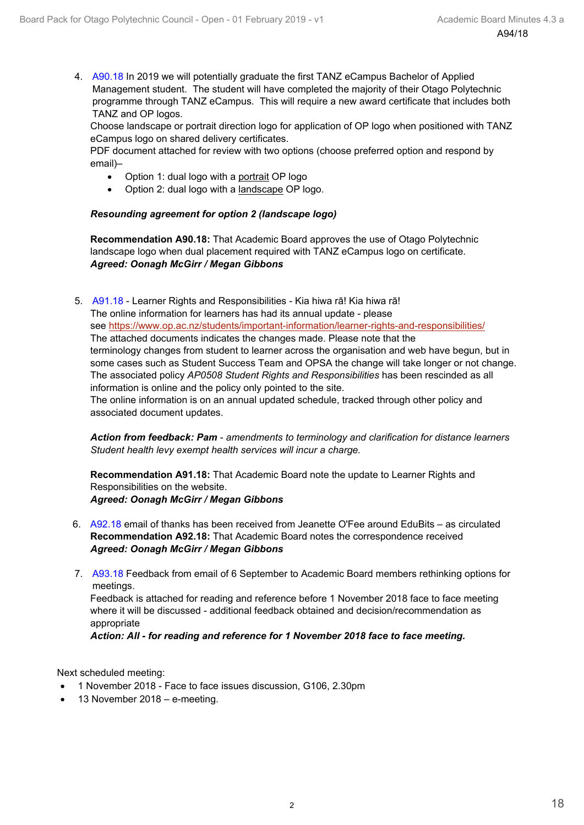4. A90.18 In 2019 we will potentially graduate the first TANZ eCampus Bachelor of Applied Management student. The student will have completed the majority of their Otago Polytechnic programme through TANZ eCampus. This will require a new award certificate that includes both TANZ and OP logos.

Choose landscape or portrait direction logo for application of OP logo when positioned with TANZ eCampus logo on shared delivery certificates.

PDF document attached for review with two options (choose preferred option and respond by email)–

- Option 1: dual logo with a portrait OP logo
- Option 2: dual logo with a landscape OP logo.

### *Resounding agreement for option 2 (landscape logo)*

**Recommendation A90.18:** That Academic Board approves the use of Otago Polytechnic landscape logo when dual placement required with TANZ eCampus logo on certificate. *Agreed: Oonagh McGirr / Megan Gibbons*

5. A91.18 - Learner Rights and Responsibilities - Kia hiwa rā! Kia hiwa rā! The online information for learners has had its annual update - please see<https://www.op.ac.nz/students/important-information/learner-rights-and-responsibilities/> The attached documents indicates the changes made. Please note that the terminology changes from student to learner across the organisation and web have begun, but in some cases such as Student Success Team and OPSA the change will take longer or not change. The associated policy *AP0508 Student Rights and Responsibilities* has been rescinded as all information is online and the policy only pointed to the site. The online information is on an annual updated schedule, tracked through other policy and associated document updates.

*Action from feedback: Pam* - *amendments to terminology and clarification for distance learners Student health levy exempt health services will incur a charge.*

**Recommendation A91.18:** That Academic Board note the update to Learner Rights and Responsibilities on the website. *Agreed: Oonagh McGirr / Megan Gibbons*

- 6. A92.18 email of thanks has been received from Jeanette O'Fee around EduBits as circulated **Recommendation A92.18:** That Academic Board notes the correspondence received *Agreed: Oonagh McGirr / Megan Gibbons*
- 7. A93.18 Feedback from email of 6 September to Academic Board members rethinking options for meetings.

Feedback is attached for reading and reference before 1 November 2018 face to face meeting where it will be discussed - additional feedback obtained and decision/recommendation as appropriate

*Action: All - for reading and reference for 1 November 2018 face to face meeting.*

Next scheduled meeting:

- 1 November 2018 Face to face issues discussion, G106, 2.30pm
- 13 November 2018 e-meeting.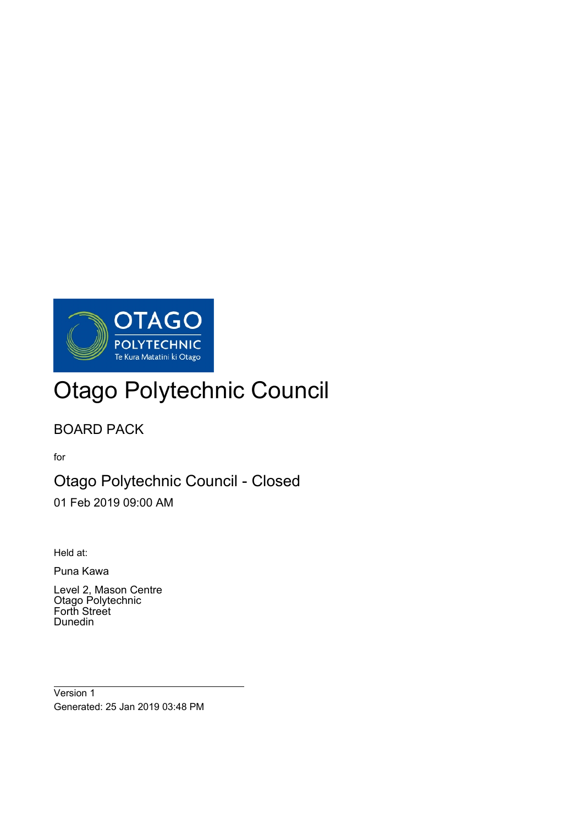

# Otago Polytechnic Council

# BOARD PACK

for

# Otago Polytechnic Council - Closed

01 Feb 2019 09:00 AM

Held at:

 $\overline{a}$ 

Puna Kawa

Level 2, Mason Centre Otago Polytechnic Forth Street Dunedin

Version 1 Generated: 25 Jan 2019 03:48 PM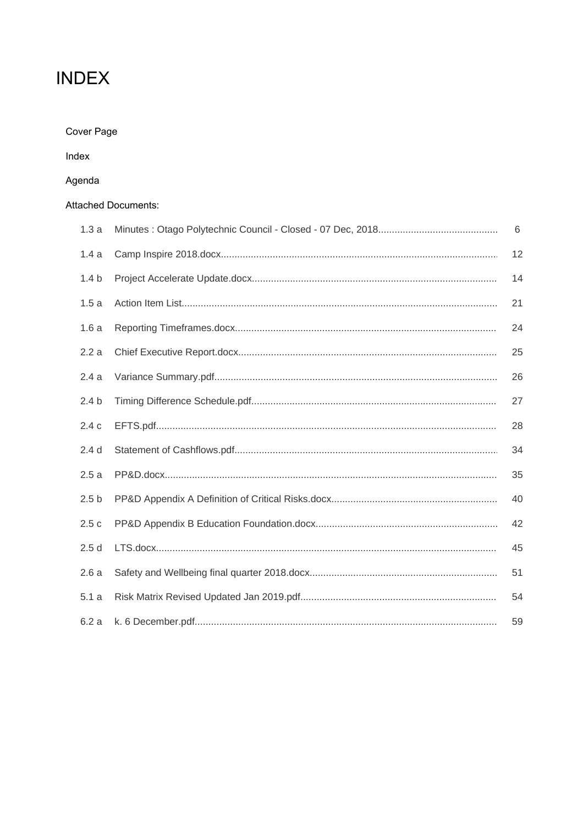# **INDEX**

| Cover Page |  |
|------------|--|
|------------|--|

Index

# Agenda

### Attached Documents:

| 1.3a             | 6  |
|------------------|----|
| 1.4a             | 12 |
| 1.4 <sub>b</sub> | 14 |
| 1.5a             | 21 |
| 1.6a             | 24 |
| 2.2a             | 25 |
| 2.4a             | 26 |
| 2.4 <sub>b</sub> | 27 |
| 2.4c             | 28 |
| 2.4 <sub>d</sub> | 34 |
| 2.5a             | 35 |
| 2.5 <sub>b</sub> | 40 |
| 2.5c             | 42 |
| 2.5d             | 45 |
| 2.6a             | 51 |
| 5.1a             | 54 |
| 6.2a             | 59 |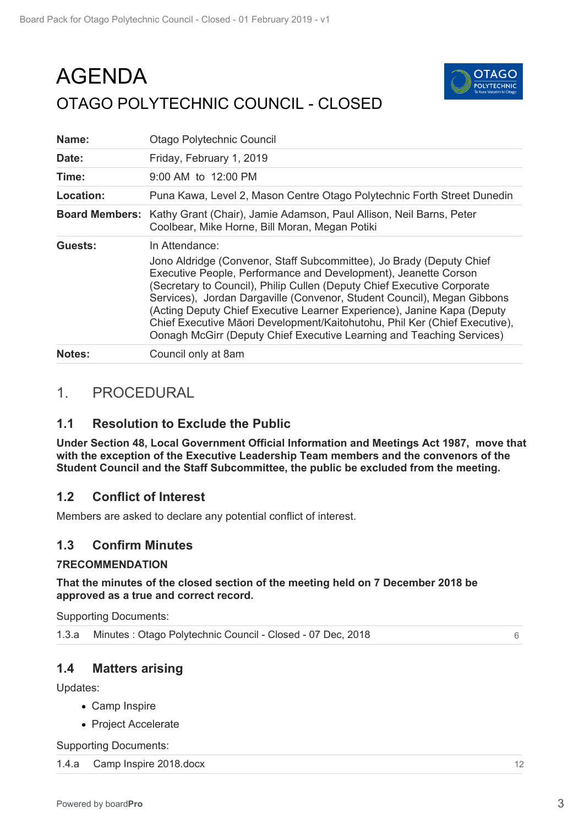# AGENDA OTAGO POLYTECHNIC COUNCIL - CLOSED



| Name:                 | Otago Polytechnic Council                                                                                                                                                                                                                                                                                                                                                                                                                                                                                                                         |
|-----------------------|---------------------------------------------------------------------------------------------------------------------------------------------------------------------------------------------------------------------------------------------------------------------------------------------------------------------------------------------------------------------------------------------------------------------------------------------------------------------------------------------------------------------------------------------------|
| Date:                 | Friday, February 1, 2019                                                                                                                                                                                                                                                                                                                                                                                                                                                                                                                          |
| Time:                 | 9:00 AM to 12:00 PM                                                                                                                                                                                                                                                                                                                                                                                                                                                                                                                               |
| Location:             | Puna Kawa, Level 2, Mason Centre Otago Polytechnic Forth Street Dunedin                                                                                                                                                                                                                                                                                                                                                                                                                                                                           |
| <b>Board Members:</b> | Kathy Grant (Chair), Jamie Adamson, Paul Allison, Neil Barns, Peter<br>Coolbear, Mike Horne, Bill Moran, Megan Potiki                                                                                                                                                                                                                                                                                                                                                                                                                             |
| Guests:               | In Attendance:<br>Jono Aldridge (Convenor, Staff Subcommittee), Jo Brady (Deputy Chief<br>Executive People, Performance and Development), Jeanette Corson<br>(Secretary to Council), Philip Cullen (Deputy Chief Executive Corporate<br>Services), Jordan Dargaville (Convenor, Student Council), Megan Gibbons<br>(Acting Deputy Chief Executive Learner Experience), Janine Kapa (Deputy<br>Chief Executive Māori Development/Kaitohutohu, Phil Ker (Chief Executive),<br>Oonagh McGirr (Deputy Chief Executive Learning and Teaching Services) |
| <b>Notes:</b>         | Council only at 8am                                                                                                                                                                                                                                                                                                                                                                                                                                                                                                                               |

# 1. PROCEDURAL

# **1.1 Resolution to Exclude the Public**

**Under Section 48, Local Government Official Information and Meetings Act 1987, move that with the exception of the Executive Leadership Team members and the convenors of the Student Council and the Staff Subcommittee, the public be excluded from the meeting.**

# **1.2 Conflict of Interest**

Members are asked to declare any potential conflict of interest.

# **1.3 Confirm Minutes**

### **7RECOMMENDATION**

### **That the minutes of the closed section of the meeting held on 7 December 2018 be approved as a true and correct record.**

Supporting Documents:

|  | 1.3.a Minutes : Otago Polytechnic Council - Closed - 07 Dec, 2018 |  |
|--|-------------------------------------------------------------------|--|
|--|-------------------------------------------------------------------|--|

# **1.4 Matters arising**

Updates:

- Camp Inspire
- Project Accelerate

Supporting Documents:

1.4.a Camp Inspire 2018.docx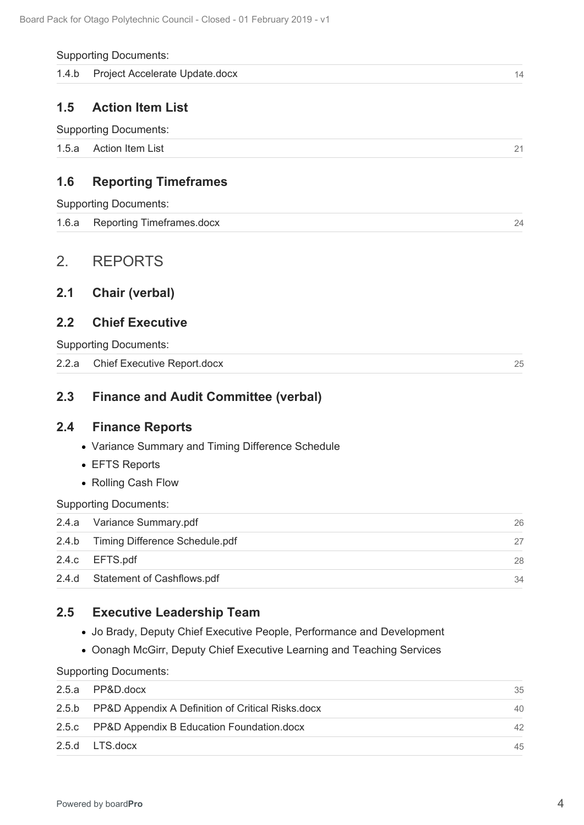#### <span id="page-21-0"></span>Supporting Documents:

|  | 1.4.b Project Accelerate Update.docx |  |  |
|--|--------------------------------------|--|--|
|--|--------------------------------------|--|--|

### **1.5 Action Item List**

| 1.5.a<br>Action Item List |  |  | $\Omega$ |
|---------------------------|--|--|----------|
|---------------------------|--|--|----------|

# **1.6 Reporting Timeframes**

| 1.6.a Reporting Timeframes.docx |  |
|---------------------------------|--|
|                                 |  |

## 2. REPORTS

### **2.1 Chair (verbal)**

### **2.2 Chief Executive**

### **2.3 Finance and Audit Committee (verbal)**

### **2.4 Finance Reports**

- Variance Summary and Timing Difference Schedule
- EFTS Reports
- Rolling Cash Flow

| 1.4.b | Project Accelerate Update.docx                                         | 14 |
|-------|------------------------------------------------------------------------|----|
| 1.5   | <b>Action Item List</b>                                                |    |
|       | <b>Supporting Documents:</b>                                           |    |
| 1.5.a | <b>Action Item List</b>                                                | 21 |
|       |                                                                        |    |
| 1.6   | <b>Reporting Timeframes</b>                                            |    |
|       | <b>Supporting Documents:</b>                                           |    |
| 1.6.a | <b>Reporting Timeframes.docx</b>                                       | 24 |
| 2.    | <b>REPORTS</b>                                                         |    |
| 2.1   | <b>Chair (verbal)</b>                                                  |    |
| 2.2   | <b>Chief Executive</b>                                                 |    |
|       | <b>Supporting Documents:</b>                                           |    |
| 2.2.a | <b>Chief Executive Report.docx</b>                                     | 25 |
| 2.3   | <b>Finance and Audit Committee (verbal)</b>                            |    |
| 2.4   | <b>Finance Reports</b>                                                 |    |
|       | • Variance Summary and Timing Difference Schedule                      |    |
|       | • EFTS Reports                                                         |    |
|       | • Rolling Cash Flow                                                    |    |
|       | <b>Supporting Documents:</b>                                           |    |
| 2.4.a | Variance Summary.pdf                                                   | 26 |
| 2.4.b | Timing Difference Schedule.pdf                                         | 27 |
| 2.4.c | EFTS.pdf                                                               | 28 |
| 2.4.d | Statement of Cashflows.pdf                                             | 34 |
| 2.5   | <b>Executive Leadership Team</b>                                       |    |
|       | • Jo Brady, Deputy Chief Executive People, Performance and Development |    |
|       | • Oonagh McGirr, Deputy Chief Executive Learning and Teaching Services |    |
|       | <b>Supporting Documents:</b>                                           |    |
| 2.5.a | PP&D.docx                                                              | 35 |
| 2.5.b | PP&D Appendix A Definition of Critical Risks.docx                      | 40 |
| 2.5.c | PP&D Appendix B Education Foundation.docx                              | 42 |
| 2.5.d | LTS.docx                                                               | 45 |

### **2.5 Executive Leadership Team**

- Jo Brady, Deputy Chief Executive People, Performance and Development
- Oonagh McGirr, Deputy Chief Executive Learning and Teaching Services

| 2.5.a PP&D.docx                                         | 35 |
|---------------------------------------------------------|----|
| 2.5.b PP&D Appendix A Definition of Critical Risks.docx | 40 |
| 2.5.c PP&D Appendix B Education Foundation.docx         | 42 |
| 2.5.d LTS.docx                                          | 45 |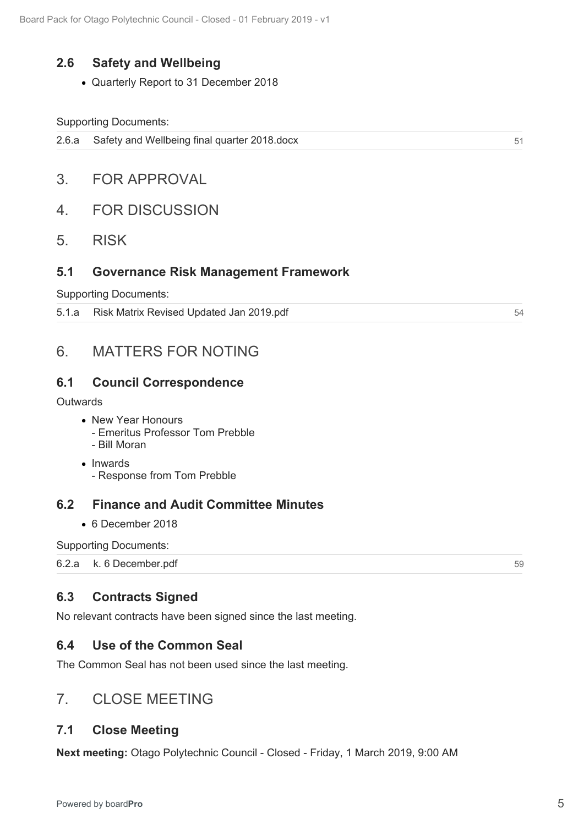## **2.6 Safety and Wellbeing**

Quarterly Report to 31 December 2018

### Supporting Documents:

- 3. FOR APPROVAL
- 4. FOR DISCUSSION
- 5. RISK

### **5.1 Governance Risk Management Framework**

Supporting Documents:

5.1.a Risk Matrix Revised Updated Jan 2019.pdf

# 6. MATTERS FOR NOTING

### **6.1 Council Correspondence**

### **Outwards**

- New Year Honours
	- Emeritus Professor Tom Prebble
	- Bill Moran
- Inwards - Response from Tom Prebble

### **6.2 Finance and Audit Committee Minutes**

6 December 2018

Supporting Documents:

6.2.a k. 6 December.pdf

### **6.3 Contracts Signed**

No relevant contracts have been signed since the last meeting.

### **6.4 Use of the Common Seal**

The Common Seal has not been used since the last meeting.

# 7. CLOSE MEETING

### **7.1 Close Meeting**

**Next meeting:** Otago Polytechnic Council - Closed - Friday, 1 March 2019, 9:00 AM

51<br>54<br>59<br>59

59

54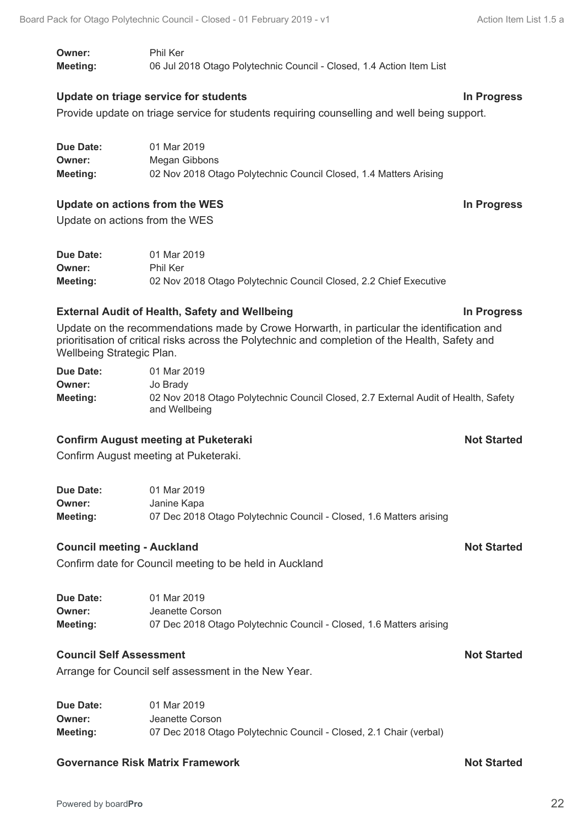**Owner:** Phil Ker **Meeting:** 06 Jul 2018 Otago Polytechnic Council - Closed, 1.4 Action Item List

### **Update on triage service for students In Progress**

Provide update on triage service for students requiring counselling and well being support.

| Due Date: | 01 Mar 2019                                                       |
|-----------|-------------------------------------------------------------------|
| Owner:    | Megan Gibbons                                                     |
| Meeting:  | 02 Nov 2018 Otago Polytechnic Council Closed, 1.4 Matters Arising |

### **Update on actions from the WES In Progress**

Update on actions from the WES

| Due Date: | 01 Mar 2019                                                       |
|-----------|-------------------------------------------------------------------|
| Owner:    | Phil Ker                                                          |
| Meeting:  | 02 Nov 2018 Otago Polytechnic Council Closed, 2.2 Chief Executive |

### **External Audit of Health, Safety and Wellbeing In Progress**

Update on the recommendations made by Crowe Horwarth, in particular the identification and prioritisation of critical risks across the Polytechnic and completion of the Health, Safety and Wellbeing Strategic Plan.

| Due Date: | 01 Mar 2019                                                                                         |
|-----------|-----------------------------------------------------------------------------------------------------|
| Owner:    | Jo Brady                                                                                            |
| Meeting:  | 02 Nov 2018 Otago Polytechnic Council Closed, 2.7 External Audit of Health, Safety<br>and Wellbeing |

### **Confirm August meeting at Puketeraki Not Started Not Started**

Confirm August meeting at Puketeraki.

| Due Date: | 01 Mar 2019                                                         |
|-----------|---------------------------------------------------------------------|
| Owner:    | Janine Kapa                                                         |
| Meeting:  | 07 Dec 2018 Otago Polytechnic Council - Closed, 1.6 Matters arising |

### **Council meeting - Auckland Not Started**

Confirm date for Council meeting to be held in Auckland

| Due Date: | 01 Mar 2019                                                         |
|-----------|---------------------------------------------------------------------|
| Owner:    | Jeanette Corson                                                     |
| Meeting:  | 07 Dec 2018 Otago Polytechnic Council - Closed, 1.6 Matters arising |

### **Council Self Assessment Not Started**

Arrange for Council self assessment in the New Year.

| Due Date: | 01 Mar 2019                                                        |
|-----------|--------------------------------------------------------------------|
| Owner:    | Jeanette Corson                                                    |
| Meeting:  | 07 Dec 2018 Otago Polytechnic Council - Closed, 2.1 Chair (verbal) |

### **Governance Risk Matrix Framework Not Started Not Started**